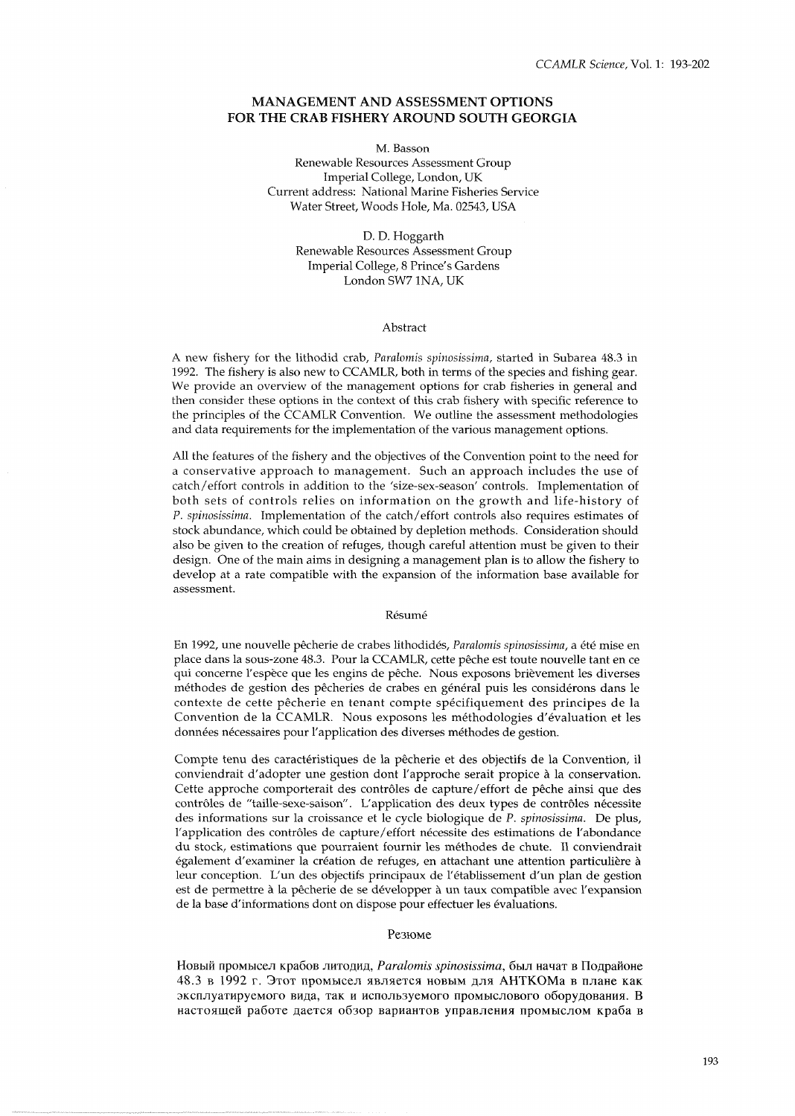# **MANAGEMENT AND ASSESSMENT OPTIONS FOR THE CRAB FISHERY AROUND SOUTH GEORGIA**

M. Basson Renewable Resources Assessment Group Imperial College, London, UK Current address: National Marine Fisheries Service Water Street, Woods Hole, Ma. 02543, USA

> D. D. Hoggarth Renewable Resources Assessment Group Imperial College, 8 Prince's Gardens London SW7 INA, UK

#### Abstract

A new fishery for the lithodid crab, Paralomis spinosissima, started in Subarea 48.3 in 1992. The fishery is also new to CCAMLR, both in terms of the species and fishing gear. We provide an overview of the management options for crab fisheries in general and then consider these options in the context of this crab fishery with specific reference to the principles of the CCAMLR Convention. We outline the assessment methodologies and data requirements for the implementation of the various management options.

All the features of the fishery and the objectives of the Convention point to the need for a conservative approach to management. Such an approach includes the use of catch/effort controls in addition to the 'size-sex-season' controls. Implementation of both sets of controls relies on information on the growth and life-history of P. spinosissima. Implementation of the catch/effort controls also requires estimates of stock abundance, which could be obtained by depletion methods. Consideration should also be given to the creation of refuges, though careful attention must be given to their design. One of the main aims in designing a management plan is to allow the fishery to develop at a rate compatible with the expansion of the information base available for assessment.

#### Résumé

En 1992, une nouvelle pêcherie de crabes lithodidés, Paralomis spinosissima, a été mise en place dans la sous-zone 48.3. Pour la CCAMLR, cette pêche est toute nouvelle tant en ce qui concerne l'espece que les engins de peche. Nous exposons brievement les diverses méthodes de gestion des pêcheries de crabes en général puis les considérons dans le contexte de cette pêcherie en tenant compte spécifiquement des principes de la Convention de la CCAMLR. Nous exposons les methodologies d'evaluation et les données nécessaires pour l'application des diverses méthodes de gestion.

Compte tenu des caractéristiques de la pêcherie et des objectifs de la Convention, il conviendrait d'adopter une gestion dont l'approche serait propice à la conservation. Cette approche comporterait des contrôles de capture/effort de pêche ainsi que des contrôles de "taille-sexe-saison". L'application des deux types de contrôles nécessite des informations sur la croissance et le cycle biologique de P. spinosissima. De plus, l'application des contrôles de capture/effort nécessite des estimations de l'abondance du stock, estimations que pourraient fournir les methodes de chute. I1 conviendrait egalement d'examiner la creation de refuges, en attachant une attention particuliere a leur conception. L'un des objectifs principaux de l'etablissement d'un plan de gestion est de permettre à la pêcherie de se développer à un taux compatible avec l'expansion de la base d'informations dont on dispose pour effectuer les evaluations.

## Резюме

Новый промысел крабов литодид, Paralomis spinosissima, был начат в Подрайоне 48.3 в 1992 г. Этот промысел является новым для АНТКОМа в плане как эксплуатируемого вида, так и используемого промыслового оборудования. В настоящей работе дается обзор вариантов управления промыслом краба в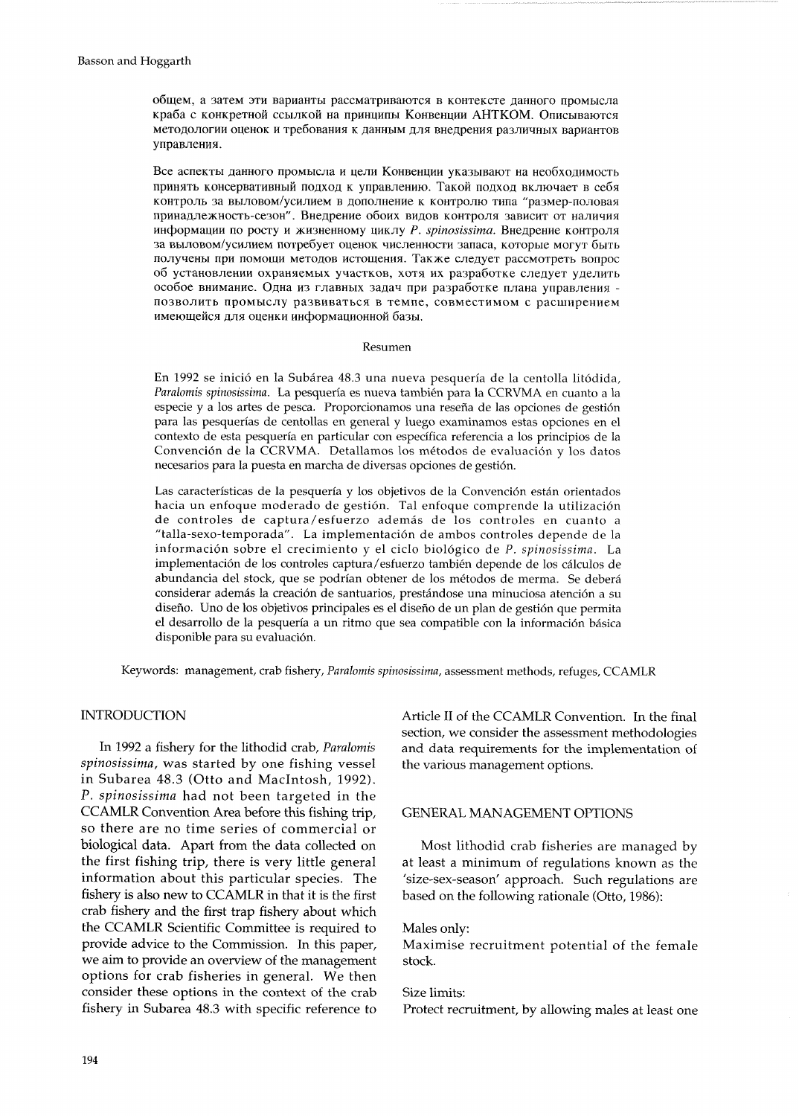общем, а затем эти варианты рассматриваются в контексте данного промысла краба с конкретной ссылкой на принципы Конвенции АНТКОМ. Описываются методологии оценок и требования к данным для внедрения различных вариантов управления.

Все аспекты данного промысла и цели Конвенции указывают на необходимость принять консервативный подход к управлению. Такой подход включает в себя КОНТРОЛЬ ЗА ВЫЛОВОМ/УСИЛИЕМ В ДОПОЛНЕНИЕ К КОНТРОЛЮ ТИПА "размер-половая принадлежность-сезон". Внедрение обоих видов контроля зависит от наличия информации по росту и жизненному циклу *P. spinosissima*. Внедрение контроля за выловом/усилием потребует оценок численности запаса, которые могут быть получены при помощи методов истощения. Также следует рассмотреть вопрос об установлении охраняемых участков, хотя их разработке следует уделить особое внимание. Одна из главных задач при разработке плана управления позволить промыслу развиваться в темпе, совместимом с расширением имеющейся для оценки информационной базы.

#### Resumen

En 1992 se inicio en la Subarea 48.3 una nueva pesqueria de la centolla litodida, Paralomis spinosissima. La pesquería es nueva también para la CCRVMA en cuanto a la especie y a los artes de pesca. Proporcionamos una reseña de las opciones de gestión para las pesquerias de centollas en general y luego examinamos estas opciones en el context0 de esta pesqueria en particular con especifica referencia a 10s principios de la Convención de la CCRVMA. Detallamos los métodos de evaluación y los datos necesarios para la puesta en marcha de diversas opciones de gestidn.

Las características de la pesquería y los objetivos de la Convención están orientados hacia un enfoque moderado de gestion. Tal enfoque comprende la utilization de controles de captura/esfuerzo además de los controles en cuanto a "talla-sexo-temporada". La implementaci6n de ambos controles depende de la informaci6n sobre el crecimiento y el ciclo biologico de P. *spinosissirna.* La implementacidn de 10s controles captura/esfuerzo tambien depende de 10s calculos de abundancia del stock, que se podrían obtener de los métodos de merma. Se deberá considerar ademas la creacion de santuarios, prestandose una minuciosa atenci6n a su diseño. Uno de los objetivos principales es el diseño de un plan de gestión que permita el desarrollo de la pesquería a un ritmo que sea compatible con la información básica disponible para su evaluación.

Keywords: management, crab fishery, *Paralornis spinosissima,* assessment methods, refuges, CCAMLR

## INTRODUCTION

In 1992 a fishery for the lithodid crab, *Paralomis spinosissirna,* was started by one fishing vessel in Subarea 48.3 (Otto and Macintosh, 1992). P. *spinosissirna* had not been targeted in the CCAMLR Convention Area before this fishing trip, so there are no time series of commercial or biological data. Apart from the data collected on the first fishing trip, there is very little general information about this particular species. The fishery is also new to CCAMLR in that it is the first crab fishery and the first trap fishery about which the CCAMLR Scientific Committee is required to provide advice to the Commission. In this paper, we aim to provide an overview of the management options for crab fisheries in general. We then consider these options in the context of the crab fishery in Subarea 48.3 with specific reference to

Article I1 of the CCAMLR Convention. In the final section, we consider the assessment methodologies and data requirements for the implementation of the various management options.

# GENERAL MANAGEMENT OPTIONS

Most lithodid crab fisheries are managed by at least a minimum of regulations known as the 'size-sex-season' approach. Such regulations are based on the following rationale (Otto, 1986):

## Males only:

Maximise recruitment potential of the female stock.

# Size limits:

Protect recruitment, by allowing males at least one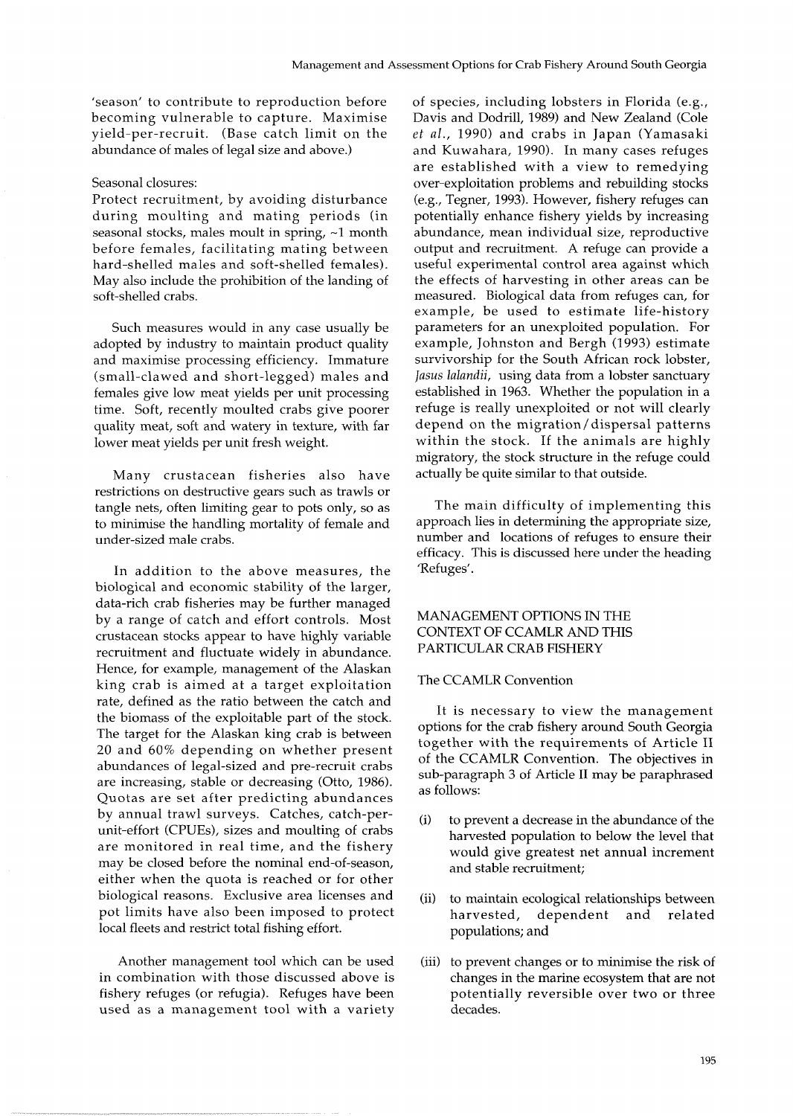'season' to contribute to reproduction before becoming vulnerable to capture. Maximise yield-per-recruit. (Base catch limit on the abundance of males of legal size and above.)

## Seasonal closures:

Protect recruitment, by avoiding disturbance during moulting and mating periods (in seasonal stocks, males moult in spring,  $~1$  month before females, facilitating mating between hard-shelled males and soft-shelled females). May also include the prohibition of the landing of soft-shelled crabs.

Such measures would in any case usually be adopted by industry to maintain product quality and maximise processing efficiency. Immature (small-clawed and short-legged) males and females give low meat yields per unit processing time. Soft, recently moulted crabs give poorer quality meat, soft and watery in texture, with far lower meat yields per unit fresh weight.

Many crustacean fisheries also have restrictions on destructive gears such as trawls or tangle nets, often limiting gear to pots only, so as to minimise the handling mortality of female and under-sized male crabs.

In addition to the above measures, the biological and economic stability of the larger, data-rich crab fisheries may be further managed by a range of catch and effort controls. Most crustacean stocks appear to have highly variable recruitment and fluctuate widely in abundance. Hence, for example, management of the Alaskan king crab is aimed at a target exploitation rate, defined as the ratio between the catch and the biomass of the exploitable part of the stock. The target for the Alaskan king crab is between 20 and 60% depending on whether present abundances of legal-sized and pre-recruit crabs are increasing, stable or decreasing (Otto, 1986). Quotas are set after predicting abundances by annual trawl surveys. Catches, catch-perunit-effort (CPUEs), sizes and moulting of crabs are monitored in real time, and the fishery may be closed before the nominal end-of-season, either when the quota is reached or for other biological reasons. Exclusive area licenses and pot limits have also been imposed to protect local fleets and restrict total fishing effort.

Another management tool which can be used in combination with those discussed above is fishery refuges (or refugia). Refuges have been used as a management tool with a variety

of species, including lobsters in Florida (e.g., Davis and Dodrill, 1989) and New Zealand (Cole *et* al., 1990) and crabs in Japan (Yamasaki and Kuwahara, 1990). In many cases refuges are established with a view to remedying over-exploitation problems and rebuilding stocks (e.g., Tegner, 1993). However, fishery refuges can potentially enhance fishery yields by increasing abundance, mean individual size, reproductive output and recruitment. A refuge can provide a useful experimental control area against which the effects of harvesting in other areas can be measured. Biological data from refuges can, for example, be used to estimate life-history parameters for an unexploited population. For example, Johnston and Bergh (1993) estimate survivorship for the South African rock lobster, Jasus lalandii, using data from a lobster sanctuary established in 1963. Whether the population in a refuge is really unexploited or not will clearly depend on the migration/dispersal patterns within the stock. If the animals are highly migratory, the stock structure in the refuge could actually be quite similar to that outside.

The main difficulty of implementing this approach lies in determining the appropriate size, number and locations of refuges to ensure their efficacy. This is discussed here under the heading 'Refuges'.

# MANAGEMENT OPTIONS IN THE CONTEXT OF CCAMLR AND THIS PARTICULAR CRAB FISHERY

## The CCAMLR Convention

It is necessary to view the management options for the crab fishery around South Georgia together with the requirements of Article I1 of the CCAMLR Convention. The objectives in sub-paragraph 3 of Article I1 may be paraphrased as follows:

- (i) to prevent a decrease in the abundance of the harvested population to below the level that would give greatest net annual increment and stable recruitment;
- (ii) to maintain ecological relationships between harvested, dependent and related populations; and
- (iii) to prevent changes or to minimise the risk of changes in the marine ecosystem that are not potentially reversible over two or three decades.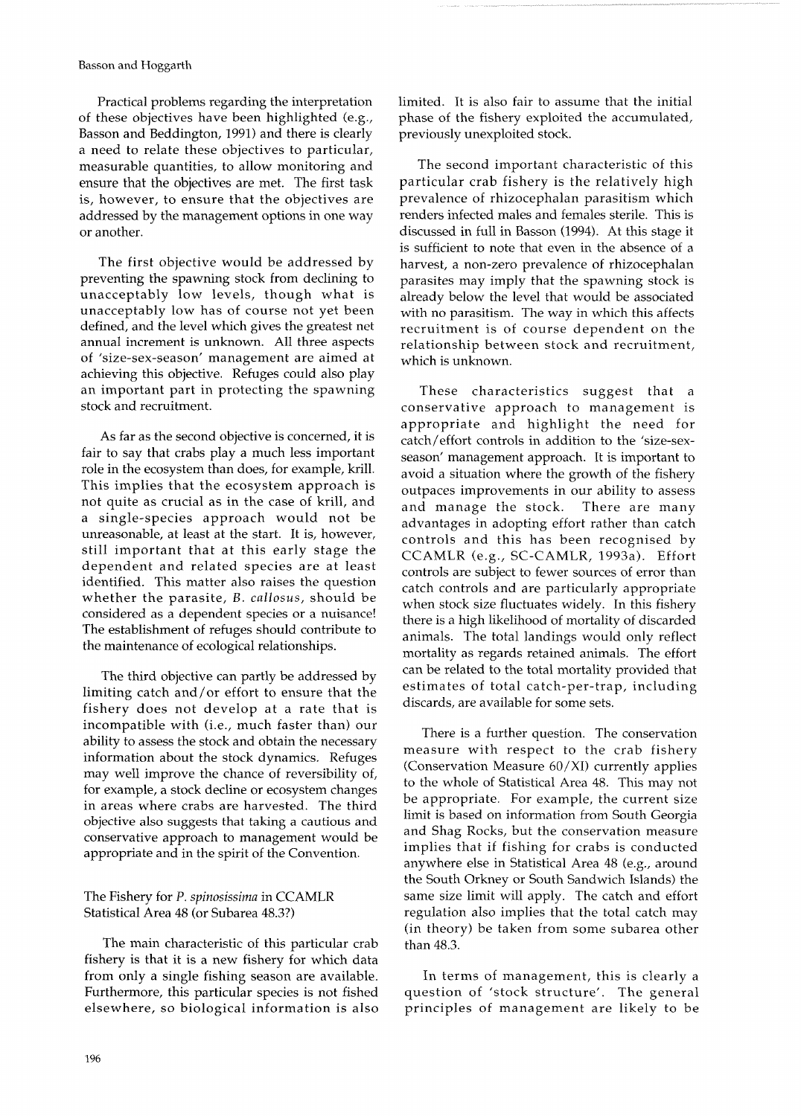Practical problems regarding the interpretation of these objectives have been highlighted (e.g., Basson and Beddington, 1991) and there is clearly a need to relate these objectives to particular, measurable quantities, to allow monitoring and ensure that the objectives are met. The first task is, however, to ensure that the objectives are addressed by the management options in one way or another.

The first objective would be addressed by preventing the spawning stock from declining to unacceptably low levels, though what is unacceptably low has of course not yet been defined, and the level which gives the greatest net annual increment is unknown. All three aspects of 'size-sex-season' management are aimed at achieving this objective. Refuges could also play an important part in protecting the spawning stock and recruitment.

As far as the second objective is concerned, it is fair to say that crabs play a much less important role in the ecosystem than does, for example, krill. This implies that the ecosystem approach is not quite as crucial as in the case of krill, and a single-species approach would not be unreasonable, at least at the start. It is, however, still important that at this early stage the dependent and related species are at least identified. This matter also raises the question whether the parasite, B. *callosus,* should be considered as a dependent species or a nuisance! The establishment of refuges should contribute to the maintenance of ecological relationships.

The third objective can partly be addressed by limiting catch and/or effort to ensure that the fishery does not develop at a rate that is incompatible with (i.e., much faster than) our ability to assess the stock and obtain the necessary information about the stock dynamics. Refuges may well improve the chance of reversibility of, for example, a stock decline or ecosystem changes in areas where crabs are harvested. The third objective also suggests that taking a cautious and conservative approach to management would be appropriate and in the spirit of the Convention.

The main characteristic of this particular crab than 48.3. fishery is that it is a new fishery for which data from only a single fishing season are available. In terms of management, this is clearly a Furthermore, this particular species is not fished question of 'stock structure'. The general elsewhere, so biological information is also principles of management are likely to be

limited. It is also fair to assume that the initial phase of the fishery exploited the accumulated, previously unexploited stock.

The second important characteristic of this particular crab fishery is the relatively high prevalence of rhizocephalan parasitism which renders infected males and females sterile. This is discussed in full in Basson (1994). At this stage it is sufficient to note that even in the absence of a harvest, a non-zero prevalence of rhizocephalan parasites may imply that the spawning stock is already below the level that would be associated with no parasitism. The way in which this affects recruitment is of course dependent on the relationship between stock and recruitment, which is unknown.

These characteristics suggest that a conservative approach to management is appropriate and highlight the need for catch/effort controls in addition to the 'size-sexseason' management approach. It is important to avoid a situation where the growth of the fishery outpaces improvements in our ability to assess and manage the stock. There are many advantages in adopting effort rather than catch controls and this has been recognised by CCAMLR (e.g., SC-CAMLR, 1993a). Effort controls are subject to fewer sources of error than catch controls and are particularly appropriate when stock size fluctuates widely. In this fishery there is a high likelihood of mortality of discarded animals. The total landings would only reflect mortality as regards retained animals. The effort can be related to the total mortality provided that estimates of total catch-per-trap, including discards, are available for some sets.

There is a further question. The conservation measure with respect to the crab fishery (Conservation Measure 60/XI) currently applies to the whole of Statistical Area 48. This may not be appropriate. For example, the current size limit is based on information from South Georgia and Shag Rocks, but the conservation measure implies that if fishing for crabs is conducted anywhere else in Statistical Area 48 (e.g., around the South Orkney or South Sandwich Islands) the The Fishery for P. *spinosissima* in CCAMLR same size limit will apply. The catch and effort Statistical Area 48 (or Subarea 48.3?) regulation also implies that the total catch may (in theory) be taken from some subarea other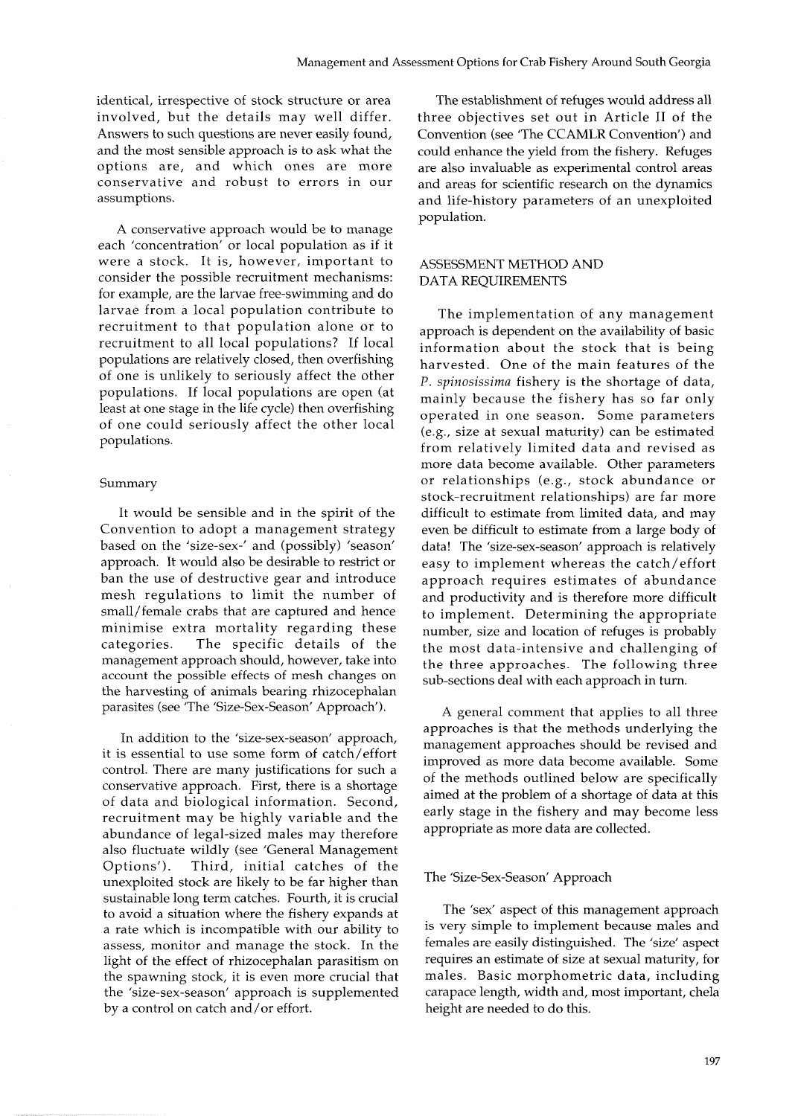identical, irrespective of stock structure or area involved, but the details may well differ. Answers to such questions are never easily found, and the most sensible approach is to ask what the options are, and which ones are more conservative and robust to errors in our assumptions.

A conservative approach would be to manage each 'concentration' or local population as if it were a stock. It is, however, important to consider the possible recruitment mechanisms: for example, are the larvae free-swimming and do larvae from a local population contribute to recruitment to that population alone or to recruitment to all local populations? If local populations are relatively closed, then overfishing of one is unlikely to seriously affect the other populations. If local populations are open (at least at one stage in the life cycle) then overfishing of one could seriously affect the other local populations.

## Summary

It would be sensible and in the spirit of the Convention to adopt a management strategy based on the 'size-sex-' and (possibly) 'season' approach. It would also be desirable to restrict or ban the use of destructive gear and introduce mesh regulations to limit the number of small/female crabs that are captured and hence minimise extra mortality regarding these categories. The specific details of the management approach should, however, take into account the possible effects of mesh changes on the harvesting of animals bearing rhizocephalan parasites (see 'The 'Size-Sex-Season' Approach').

In addition to the 'size-sex-season' approach, it is essential to use some form of catch/effort control. There are many justifications for such a conservative approach. First, there is a shortage of data and biological information. Second, recruitment may be highly variable and the abundance of legal-sized males may therefore also fluctuate wildly (see 'General Management Options'). Third, initial catches of the unexploited stock are likely to be far higher than sustainable long term catches. Fourth, it is crucial to avoid a situation where the fishery expands at a rate which is incompatible with our ability to assess, monitor and manage the stock. In the light of the effect of rhizocephalan parasitism on the spawning stock, it is even more crucial that the 'size-sex-season' approach is supplemented by a control on catch and/or effort.

The establishment of refuges would address all three objectives set out in Article I1 of the Convention (see 'The CCAMLR Convention') and could enhance the yield from the fishery. Refuges are also invaluable as experimental control areas and areas for scientific research on the dynamics and life-history parameters of an unexploited population.

# ASSESSMENT METHOD AND DATA REQUIREMENTS

The implementation of any management approach is dependent on the availability of basic information about the stock that is being harvested. One of the main features of the P. *spinosissima* fishery is the shortage of data, mainly because the fishery has so far only operated in one season. Some parameters (e.g., size at sexual maturity) can be estimated from relatively limited data and revised as more data become available. Other parameters or relationships (e.g., stock abundance or stock-recruitment relationships) are far more difficult to estimate from limited data, and may even be difficult to estimate from a large body of data! The 'size-sex-season' approach is relatively easy to implement whereas the catch/effort approach requires estimates of abundance and productivity and is therefore more difficult to implement. Determining the appropriate number, size and location of refuges is probably the most data-intensive and challenging of the three approaches. The following three sub-sections deal with each approach in turn.

A general comment that applies to all three approaches is that the methods underlying the management approaches should be revised and improved as more data become available. Some of the methods outlined below are specifically aimed at the problem of a shortage of data at this early stage in the fishery and may become less appropriate as more data are collected.

## The 'Size-Sex-Season' Approach

The 'sex' aspect of this management approach is very simple to implement because males and females are easily distinguished. The 'size' aspect requires an estimate of size at sexual maturity, for males. Basic morphometric data, including carapace length, width and, most important, chela height are needed to do this.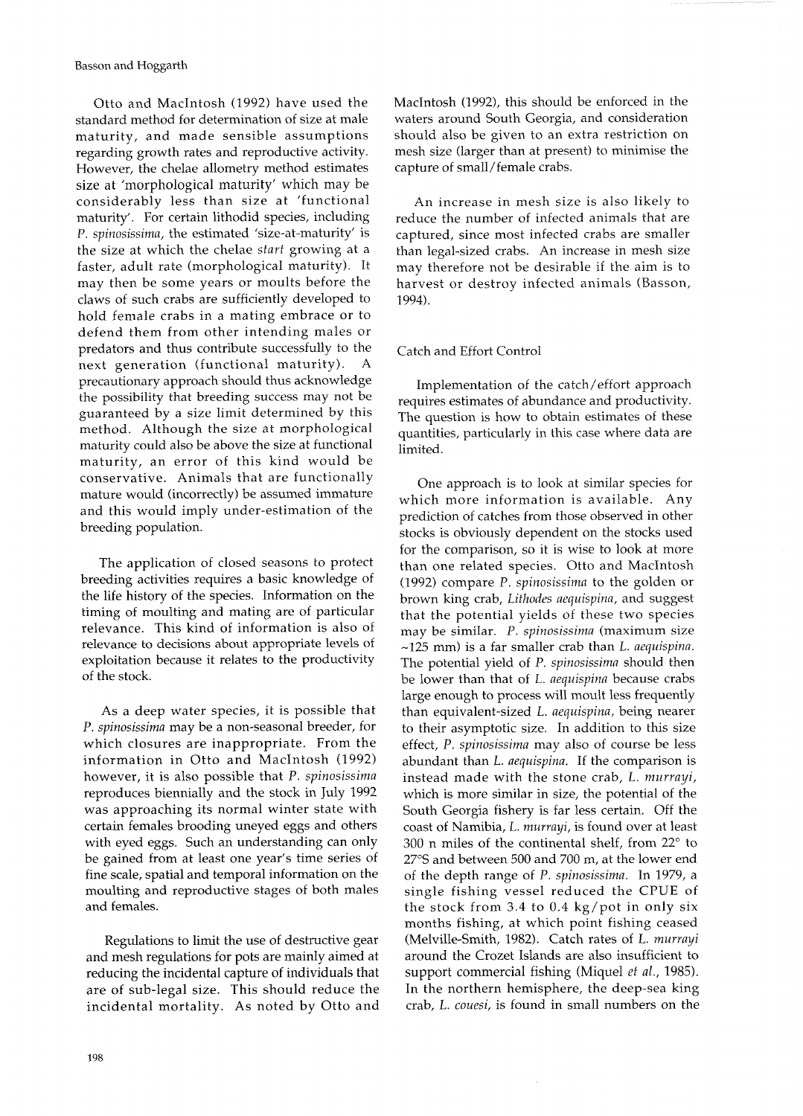Otto and MacIntosh (1992) have used the standard method for determination of size at male maturity, and made sensible assumptions regarding growth rates and reproductive activity. However, the chelae allometry method estimates size at 'morphological maturity' which may be considerably less than size at 'functional maturity'. For certain lithodid species, including P. *spinosissima,* the estimated 'size-at-maturity' is the size at which the chelae *start* growing at a faster, adult rate (morphological maturity). It may then be some years or moults before the claws of such crabs are sufficiently developed to hold female crabs in a mating embrace or to defend them from other intending males or predators and thus contribute successfully to the next generation (functional maturity). precautionary approach should thus acknowledge the possibility that breeding success may not be guaranteed by a size limit determined by this method. Although the size at morphological maturity could also be above the size at functional maturity, an error of this kind would be conservative. Animals that are functionally mature would (incorrectly) be assumed immature and this would imply under-estimation of the breeding population.

The application of closed seasons to protect breeding activities requires a basic knowledge of the life history of the species. Information on the timing of moulting and mating are of particular relevance. This kind of information is also of relevance to decisions about appropriate levels of exploitation because it relates to the productivity of the stock.

As a deep water species, it is possible that P. *spinosissima* may be a non-seasonal breeder, for which closures are inappropriate. From the information in Otto and MacIntosh (1992) however, it is also possible that P. *spinosissima*  reproduces biennially and the stock in July 1992 was approaching its normal winter state with certain females brooding uneyed eggs and others with eyed eggs. Such an understanding can only be gained from at least one year's time series of fine scale, spatial and temporal information on the moulting and reproductive stages of both males and females.

Regulations to limit the use of destructive gear and mesh regulations for pots are mainly aimed at reducing the incidental capture of individuals that are of sub-legal size. This should reduce the incidental mortality. As noted by Otto and MacIntosh (1992), this should be enforced in the waters around South Georgia, and consideration should also be given to an extra restriction on mesh size (larger than at present) to minimise the capture of small/female crabs.

An increase in mesh size is also likely to reduce the number of infected animals that are captured, since most infected crabs are smaller than legal-sized crabs. An increase in mesh size may therefore not be desirable if the aim is to harvest or destroy infected animals (Basson, 1994).

# Catch and Effort Control

Implementation of the catch/effort approach requires estimates of abundance and productivity. The question is how to obtain estimates of these quantities, particularly in this case where data are limited.

One approach is to look at similar species for which more information is available. Any prediction of catches from those observed in other stocks is obviously dependent on the stocks used for the comparison, so it is wise to look at more than one related species. Otto and MacIntosh (1992) compare P, *spinosissima* to the golden or brown king crab, *Lithodes aequispina,* and suggest that the potential yields of these two species may be similar. P. *spinosissima* (maximum size -125 mm) is a far smaller crab than L. *aequispina.*  The potential yield of P. *spinosissima* should then be lower than that of L. *aequispina* because crabs large enough to process will moult less frequently than equivalent-sized L. *aequispina,* being nearer to their asymptotic size. In addition to this size effect, P. *spinosissima* may also of course be less abundant than L. *aequispina.* If the comparison is instead made with the stone crab, L. *murrayi,*  which is more similar in size, the potential of the South Georgia fishery is far less certain. Off the coast of Namibia, L. *murrayi,* is found over at least 300 n miles of the continental shelf, from  $22^{\circ}$  to 27°S and between 500 and 700 m, at the lower end of the depth range of P. *spinosissima.* In 1979, a single fishing vessel reduced the CPUE of the stock from 3.4 to 0.4 kg/pot in only six months fishing, at which point fishing ceased (Melville-Smith, 1982). Catch rates of L. *murrayi*  around the Crozet Islands are also insufficient to support commercial fishing (Miquel *et al.*, 1985). In the northern hemisphere, the deep-sea king crab, L. *couesi,* is found in small numbers on the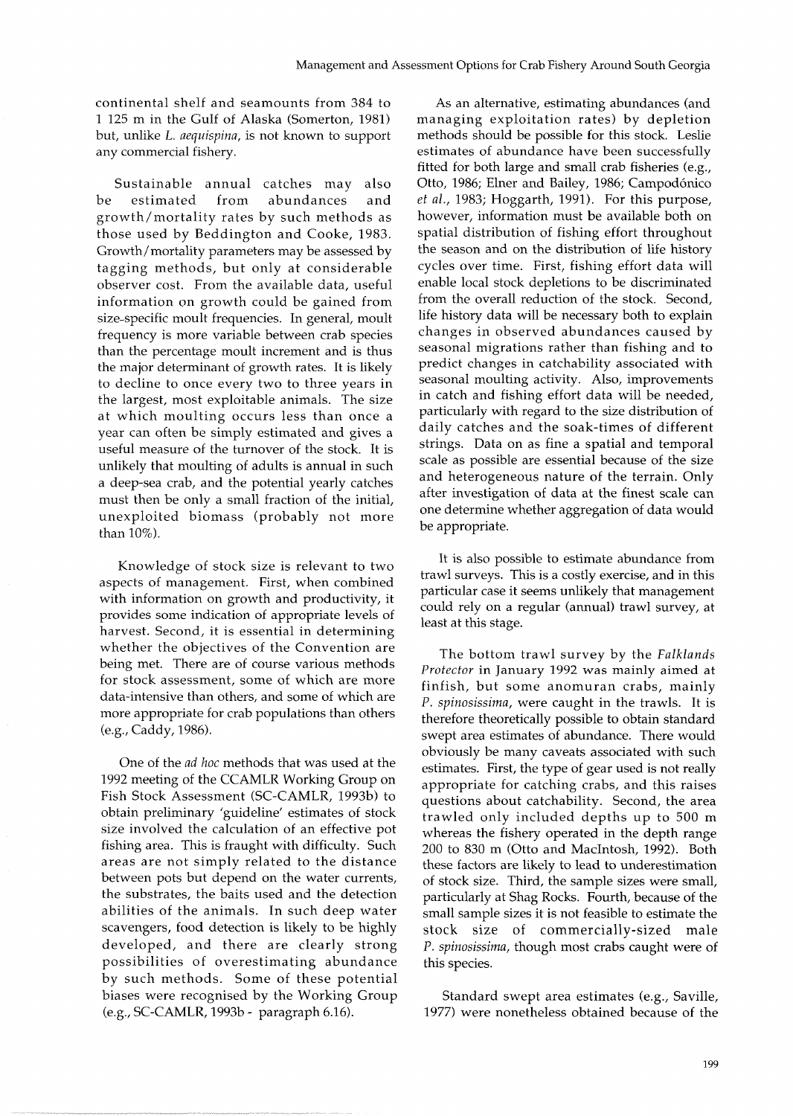continental shelf and seamounts from 384 to 1 125 m in the Gulf of Alaska (Somerton, 1981) but, unlike L. aequispina, is not known to support any commercial fishery.

Sustainable annual catches may also be estimated from abundances and growth/mortality rates by such methods as those used by Beddington and Cooke, 1983. Growth/mortality parameters may be assessed by tagging methods, but only at considerable observer cost. From the available data, useful information on growth could be gained from size-specific moult frequencies. In general, moult frequency is more variable between crab species than the percentage moult increment and is thus the major determinant of growth rates. It is likely to decline to once every two to three years in the largest, most exploitable animals. The size at which moulting occurs less than once a year can often be simply estimated and gives a useful measure of the turnover of the stock. It is unlikely that moulting of adults is annual in such a deep-sea crab, and the potential yearly catches must then be only a small fraction of the initial, unexploited biomass (probably not more than 10%).

Knowledge of stock size is relevant to two aspects of management. First, when combined with information on growth and productivity, it provides some indication of appropriate levels of harvest. Second, it is essential in determining whether the objectives of the Convention are being met. There are of course various methods for stock assessment, some of which are more data-intensive than others, and some of which are more appropriate for crab populations than others (e.g., Caddy, 1986).

One of the ad koc methods that was used at the 1992 meeting of the CCAMLR Working Group on Fish Stock Assessment (SC-CAMLR, 1993b) to obtain preliminary 'guideline' estimates of stock size involved the calculation of an effective pot fishing area. This is fraught with difficulty. Such areas are not simply related to the distance between pots but depend on the water currents, the substrates, the baits used and the detection abilities of the animals. In such deep water scavengers, food detection is likely to be highly developed, and there are clearly strong possibilities of overestimating abundance by such methods. Some of these potential biases were recognised by the Working Group (e.g., SC-CAMLR, 1993b - paragraph 6.16).

As an alternative, estimating abundances (and managing exploitation rates) by depletion methods should be possible for this stock. Leslie estimates of abundance have been successfully fitted for both large and small crab fisheries (e.g., Otto, 1986; Elner and Bailey, 1986; Campodónico et al., 1983; Hoggarth, 1991). For this purpose, however, information must be available both on spatial distribution of fishing effort throughout the season and on the distribution of life history cycles over time. First, fishing effort data will enable local stock depletions to be discriminated from the overall reduction of the stock. Second, life history data will be necessary both to explain changes in observed abundances caused by seasonal migrations rather than fishing and to predict changes in catchability associated with seasonal moulting activity. Also, improvements in catch and fishing effort data will be needed, particularly with regard to the size distribution of daily catches and the soak-times of different strings. Data on as fine a spatial and temporal scale as possible are essential because of the size and heterogeneous nature of the terrain. Only after investigation of data at the finest scale can one determine whether aggregation of data would be appropriate.

It is also possible to estimate abundance from trawl surveys. This is a costly exercise, and in this particular case it seems unlikely that management could rely on a regular (annual) trawl survey, at least at this stage.

The bottom trawl survey by the Falklands *Protector* in January *1992* was mainly aimed at finfish, but some anomuran crabs, mainly P. spinosissima, were caught in the trawls. It is therefore theoretically possible to obtain standard swept area estimates of abundance. There would obviously be many caveats associated with such estimates. First, the type of gear used is not really appropriate for catching crabs, and this raises questions about catchability. Second, the area trawled only included depths up to 500 m whereas the fishery operated in the depth range 200 to 830 m (Otto and Macintosh, 1992). Both these factors are likely to lead to underestimation of stock size. Third, the sample sizes were small, particularly at Shag Rocks. Fourth, because of the small sample sizes it is not feasible to estimate the stock size of commercially-sized male P. spinosissima, though most crabs caught were of this species.

Standard swept area estimates (e.g., Saville, 1977) were nonetheless obtained because of the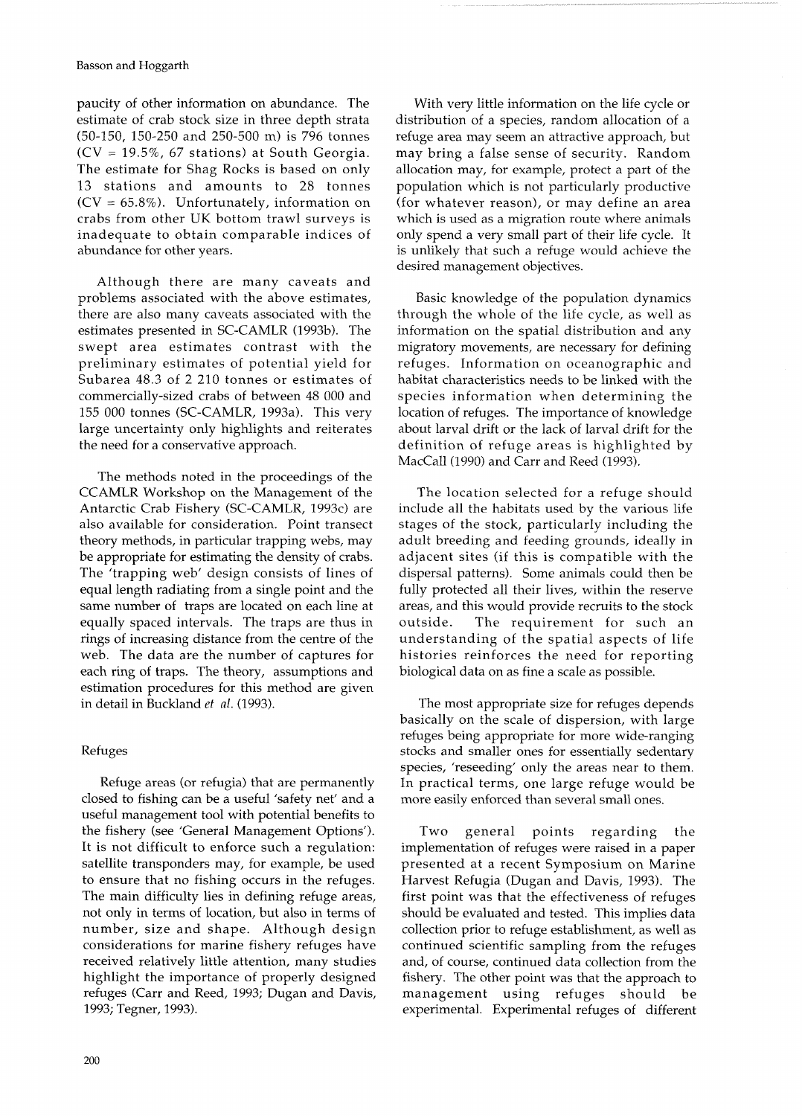paucity of other information on abundance. The estimate of crab stock size in three depth strata (50-150, 150-250 and 250-500 m) is 796 tonnes (CV = 19.5%, 67 stations) at South Georgia. The estimate for Shag Rocks is based on only 13 stations and amounts to 28 tonnes  $(CV = 65.8\%)$ . Unfortunately, information on crabs from other UK bottom trawl surveys is inadequate to obtain comparable indices of abundance for other years.

Although there are many caveats and problems associated with the above estimates, there are also many caveats associated with the estimates presented in SC-CAMLR (1993b). The swept area estimates contrast with the preliminary estimates of potential yield for Subarea 48.3 of 2 210 tonnes or estimates of commercially-sized crabs of between 48 000 and 155 000 tonnes (SC-CAMLR, 1993a). This very large uncertainty only highlights and reiterates the need for a conservative approach.

The methods noted in the proceedings of the CCAMLR Workshop on the Management of the Antarctic Crab Fishery (SC-CAMLR, 1993c) are also available for consideration. Point transect theory methods, in particular trapping webs, may be appropriate for estimating the density of crabs. The 'trapping web' design consists of lines of equal length radiating from a single point and the same number of traps are located on each line at equally spaced intervals. The traps are thus in rings of increasing distance from the centre of the web. The data are the number of captures for each ring of traps. The theory, assumptions and estimation procedures for this method are given in detail in Buckland *et* al. (1993).

## Refuges

Refuge areas (or refugia) that are permanently closed to fishing can be a useful 'safety net' and a useful management tool with potential benefits to the fishery (see 'General Management Options'). It is not difficult to enforce such a regulation: satellite transponders may, for example, be used to ensure that no fishing occurs in the refuges. The main difficulty lies in defining refuge areas, not only in terms of location, but also in terms of number, size and shape. Although design considerations for marine fishery refuges have received relatively little attention, many studies highlight the importance of properly designed refuges (Carr and Reed, 1993; Dugan and Davis, 1993; Tegner, 1993).

With very little information on the life cycle or distribution of a species, random allocation of a refuge area may seem an attractive approach, but may bring a false sense of security. Random allocation may, for example, protect a part of the population which is not particularly productive (for whatever reason), or may define an area which is used as a migration route where animals only spend a very small part of their life cycle. It is unlikely that such a refuge would achieve the desired management objectives.

Basic knowledge of the population dynamics through the whole of the life cycle, as well as information on the spatial distribution and any migratory movements, are necessary for defining refuges. lnformation on oceanographic and habitat characteristics needs to be linked with the species information when determining the location of refuges. The importance of knowledge about larval drift or the lack of larval drift for the definition of refuge areas is highlighted by MacCall (1990) and Carr and Reed (1993).

The location selected for a refuge should include all the habitats used by the various life stages of the stock, particularly including the adult breeding and feeding grounds, ideally in adjacent sites (if this is compatible with the dispersal patterns). Some animals could then be fully protected all their lives, within the reserve areas, and this would provide recruits to the stock outside. The requirement for such an understanding of the spatial aspects of life histories reinforces the need for reporting biological data on as fine a scale as possible.

The most appropriate size for refuges depends basically on the scale of dispersion, with large refuges being appropriate for more wide-ranging stocks and smaller ones for essentially sedentary species, 'reseeding' only the areas near to them. In practical terms, one large refuge would be more easily enforced than several small ones.

Two general points regarding the implementation of refuges were raised in a paper presented at a recent Symposium on Marine Harvest Refugia (Dugan and Davis, 1993). The first point was that the effectiveness of refuges should be evaluated and tested. This implies data collection prior to refuge establishment, as well as continued scientific sampling from the refuges and, of course, continued data collection from the fishery. The other point was that the approach to management using refuges should be experimental. Experimental refuges of different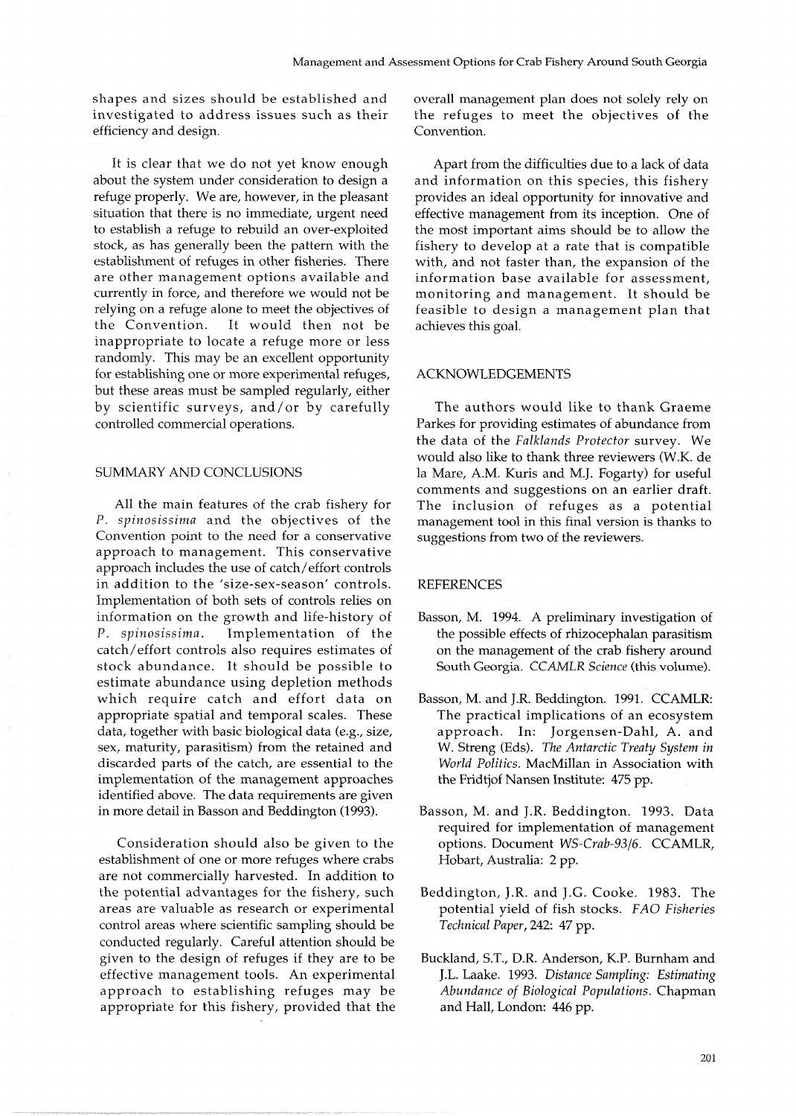shapes and sizes should be established and investigated to address issues such as their efficiency and design.

It is clear that we do not yet know enough about the system under consideration to design a refuge properly. We are, however, in the pleasant situation that there is no immediate, urgent need to establish a refuge to rebuild an over-exploited stock, as has generally been the pattern with the establishment of refuges in other fisheries. There are other management options available and currently in force, and therefore we would not be relying on a refuge alone to meet the objectives of<br>the Convention. It would then not be It would then not be inappropriate to locate a refuge more or less randomly. This may be an excellent opportunity for establishing one or more experimental refuges, but these areas must be sampled regularly, either by scientific surveys, and/or by carefully controlled commercial operations.

# SUMMARY AND CONCLUSIONS

All the main features of the crab fishery for P. *spinosissima* and the objectives of the Convention point to the need for a conservative approach to management. This conservative approach includes the use of catch/effort controls in addition to the 'size-sex-season' controls. Implementation of both sets of controls relies on information on the growth and life-history of P. *spinosissima.* Implementation of the catch/effort controls also requires estimates of stock abundance. It should be possible to estimate abundance using depletion methods which require catch and effort data on appropriate spatial and temporal scales. These data, together with basic biological data (e.g., size, sex, maturity, parasitism) from the retained and discarded parts of the catch, are essential to the implementation of the management approaches identified above. The data requirements are given in more detail in Basson and Beddington (1993).

Consideration should also be given to the establishment of one or more refuges where crabs are not commercially harvested. In addition to the potential advantages for the fishery, such areas are valuable as research or experimental control areas where scientific sampling should be conducted regularly. Careful attention should be given to the design of refuges if they are to be effective management tools. An experimental approach to establishing refuges may be appropriate for this fishery, provided that the overall management plan does not solely rely on the refuges to meet the objectives of the Convention.

Apart from the difficulties due to a lack of data and information on this species, this fishery provides an ideal opportunity for innovative and effective management from its inception. One of the most important aims should be to allow the fishery to develop at a rate that is compatible with, and not faster than, the expansion of the information base available for assessment, monitoring and management. It should be feasible to design a management plan that achieves this goal.

#### ACKNOWLEDGEMENTS

The authors would like to thank Graeme Parkes for providing estimates of abundance from the data of the *Falklands Protector* survey. We would also like to thank three reviewers (W.K. de la Mare, A.M. Kuris and M.J. Fogarty) for useful comments and suggestions on an earlier draft. The inclusion of refuges as a potential management tool in this final version is thanks to suggestions from two of the reviewers.

#### REFERENCES

- Basson, M. 1994. A preliminary investigation of the possible effects of rhizocephalan parasitism on the management of the crab fishery around South Georgia. CCAMLR *Science* (this volume).
- Basson, M. and J.R. Beddington. 1991. CCAMLR: The practical implications of an ecosystem approach. In: Jorgensen-Dahl, A. and W. Streng (Eds). *The Antarctic Treaty System in World Politics.* MacMillan in Association with the Fridtjof Nansen Institute: 475 pp.
- Basson, M. and J.R. Beddington. 1993. Data required for implementation of management options. Document *WS-Crab-93/6*. CCAMLR, Hobart, Australia: 2 pp.
- Beddington, J.R. and J.G. Cooke. 1983. The potential yield of fish stocks. *FAO Fisheries Technical Paper,* 242: 47 pp.
- Buckland, S.T., D.R. Anderson, K.P. Burnham and J.L. Laake. 1993. *Distance Sampling: Estimating Abundance of Biological Populations.* Chapman and Hall, London: 446 pp.